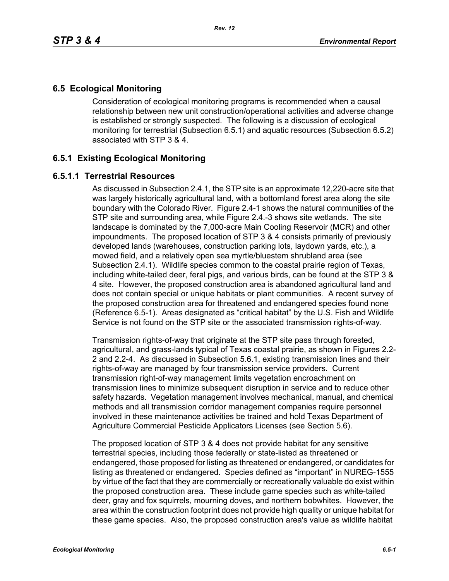# **6.5 Ecological Monitoring**

Consideration of ecological monitoring programs is recommended when a causal relationship between new unit construction/operational activities and adverse change is established or strongly suspected. The following is a discussion of ecological monitoring for terrestrial (Subsection 6.5.1) and aquatic resources (Subsection 6.5.2) associated with STP 3 & 4.

## **6.5.1 Existing Ecological Monitoring**

## **6.5.1.1 Terrestrial Resources**

As discussed in Subsection 2.4.1, the STP site is an approximate 12,220-acre site that was largely historically agricultural land, with a bottomland forest area along the site boundary with the Colorado River. Figure 2.4-1 shows the natural communities of the STP site and surrounding area, while Figure 2.4.-3 shows site wetlands. The site landscape is dominated by the 7,000-acre Main Cooling Reservoir (MCR) and other impoundments. The proposed location of STP 3 & 4 consists primarily of previously developed lands (warehouses, construction parking lots, laydown yards, etc.), a mowed field, and a relatively open sea myrtle/bluestem shrubland area (see Subsection 2.4.1). Wildlife species common to the coastal prairie region of Texas, including white-tailed deer, feral pigs, and various birds, can be found at the STP 3 & 4 site. However, the proposed construction area is abandoned agricultural land and does not contain special or unique habitats or plant communities. A recent survey of the proposed construction area for threatened and endangered species found none (Reference 6.5-1). Areas designated as "critical habitat" by the U.S. Fish and Wildlife Service is not found on the STP site or the associated transmission rights-of-way.

Transmission rights-of-way that originate at the STP site pass through forested, agricultural, and grass-lands typical of Texas coastal prairie, as shown in Figures 2.2- 2 and 2.2-4. As discussed in Subsection 5.6.1, existing transmission lines and their rights-of-way are managed by four transmission service providers. Current transmission right-of-way management limits vegetation encroachment on transmission lines to minimize subsequent disruption in service and to reduce other safety hazards. Vegetation management involves mechanical, manual, and chemical methods and all transmission corridor management companies require personnel involved in these maintenance activities be trained and hold Texas Department of Agriculture Commercial Pesticide Applicators Licenses (see Section 5.6).

The proposed location of STP 3 & 4 does not provide habitat for any sensitive terrestrial species, including those federally or state-listed as threatened or endangered, those proposed for listing as threatened or endangered, or candidates for listing as threatened or endangered. Species defined as "important" in NUREG-1555 by virtue of the fact that they are commercially or recreationally valuable do exist within the proposed construction area. These include game species such as white-tailed deer, gray and fox squirrels, mourning doves, and northern bobwhites. However, the area within the construction footprint does not provide high quality or unique habitat for these game species. Also, the proposed construction area's value as wildlife habitat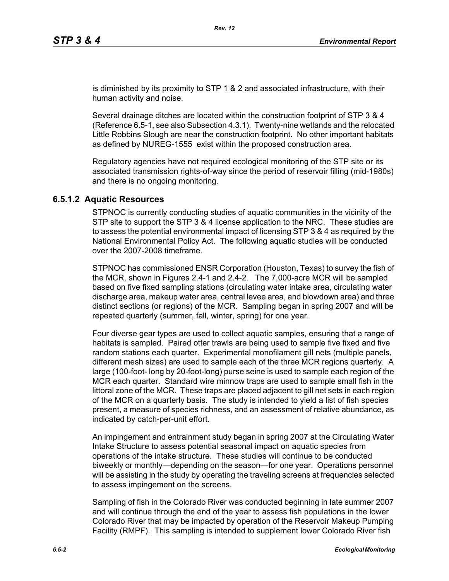is diminished by its proximity to STP 1 & 2 and associated infrastructure, with their human activity and noise.

Several drainage ditches are located within the construction footprint of STP 3 & 4 (Reference 6.5-1, see also Subsection 4.3.1). Twenty-nine wetlands and the relocated Little Robbins Slough are near the construction footprint. No other important habitats as defined by NUREG-1555 exist within the proposed construction area.

Regulatory agencies have not required ecological monitoring of the STP site or its associated transmission rights-of-way since the period of reservoir filling (mid-1980s) and there is no ongoing monitoring.

#### **6.5.1.2 Aquatic Resources**

STPNOC is currently conducting studies of aquatic communities in the vicinity of the STP site to support the STP 3 & 4 license application to the NRC. These studies are to assess the potential environmental impact of licensing STP 3 & 4 as required by the National Environmental Policy Act. The following aquatic studies will be conducted over the 2007-2008 timeframe.

STPNOC has commissioned ENSR Corporation (Houston, Texas) to survey the fish of the MCR, shown in Figures 2.4-1 and 2.4-2. The 7,000-acre MCR will be sampled based on five fixed sampling stations (circulating water intake area, circulating water discharge area, makeup water area, central levee area, and blowdown area) and three distinct sections (or regions) of the MCR. Sampling began in spring 2007 and will be repeated quarterly (summer, fall, winter, spring) for one year.

Four diverse gear types are used to collect aquatic samples, ensuring that a range of habitats is sampled. Paired otter trawls are being used to sample five fixed and five random stations each quarter. Experimental monofilament gill nets (multiple panels, different mesh sizes) are used to sample each of the three MCR regions quarterly. A large (100-foot- long by 20-foot-long) purse seine is used to sample each region of the MCR each quarter. Standard wire minnow traps are used to sample small fish in the littoral zone of the MCR. These traps are placed adjacent to gill net sets in each region of the MCR on a quarterly basis. The study is intended to yield a list of fish species present, a measure of species richness, and an assessment of relative abundance, as indicated by catch-per-unit effort.

An impingement and entrainment study began in spring 2007 at the Circulating Water Intake Structure to assess potential seasonal impact on aquatic species from operations of the intake structure. These studies will continue to be conducted biweekly or monthly—depending on the season—for one year. Operations personnel will be assisting in the study by operating the traveling screens at frequencies selected to assess impingement on the screens.

Sampling of fish in the Colorado River was conducted beginning in late summer 2007 and will continue through the end of the year to assess fish populations in the lower Colorado River that may be impacted by operation of the Reservoir Makeup Pumping Facility (RMPF). This sampling is intended to supplement lower Colorado River fish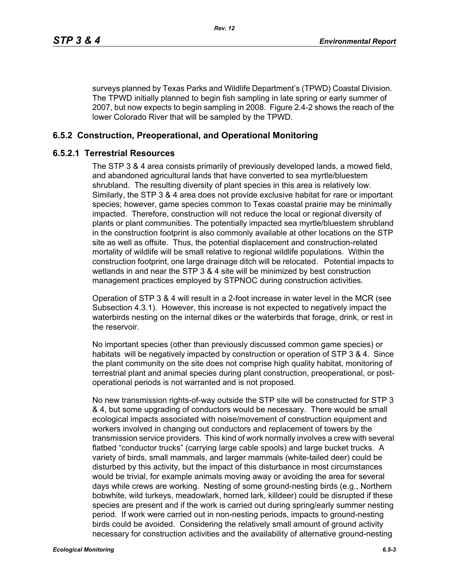surveys planned by Texas Parks and Wildlife Department's (TPWD) Coastal Division. The TPWD initially planned to begin fish sampling in late spring or early summer of 2007, but now expects to begin sampling in 2008. Figure 2.4-2 shows the reach of the lower Colorado River that will be sampled by the TPWD.

## **6.5.2 Construction, Preoperational, and Operational Monitoring**

### **6.5.2.1 Terrestrial Resources**

The STP 3 & 4 area consists primarily of previously developed lands, a mowed field, and abandoned agricultural lands that have converted to sea myrtle/bluestem shrubland. The resulting diversity of plant species in this area is relatively low. Similarly, the STP 3 & 4 area does not provide exclusive habitat for rare or important species; however, game species common to Texas coastal prairie may be minimally impacted. Therefore, construction will not reduce the local or regional diversity of plants or plant communities. The potentially impacted sea myrtle/bluestem shrubland in the construction footprint is also commonly available at other locations on the STP site as well as offsite. Thus, the potential displacement and construction-related mortality of wildlife will be small relative to regional wildlife populations. Within the construction footprint, one large drainage ditch will be relocated. Potential impacts to wetlands in and near the STP 3 & 4 site will be minimized by best construction management practices employed by STPNOC during construction activities.

Operation of STP 3 & 4 will result in a 2-foot increase in water level in the MCR (see Subsection 4.3.1). However, this increase is not expected to negatively impact the waterbirds nesting on the internal dikes or the waterbirds that forage, drink, or rest in the reservoir.

No important species (other than previously discussed common game species) or habitats will be negatively impacted by construction or operation of STP 3 & 4. Since the plant community on the site does not comprise high quality habitat, monitoring of terrestrial plant and animal species during plant construction, preoperational, or postoperational periods is not warranted and is not proposed.

No new transmission rights-of-way outside the STP site will be constructed for STP 3 & 4, but some upgrading of conductors would be necessary. There would be small ecological impacts associated with noise/movement of construction equipment and workers involved in changing out conductors and replacement of towers by the transmission service providers. This kind of work normally involves a crew with several flatbed "conductor trucks" (carrying large cable spools) and large bucket trucks. A variety of birds, small mammals, and larger mammals (white-tailed deer) could be disturbed by this activity, but the impact of this disturbance in most circumstances would be trivial, for example animals moving away or avoiding the area for several days while crews are working. Nesting of some ground-nesting birds (e.g., Northern bobwhite, wild turkeys, meadowlark, horned lark, killdeer) could be disrupted if these species are present and if the work is carried out during spring/early summer nesting period. If work were carried out in non-nesting periods, impacts to ground-nesting birds could be avoided. Considering the relatively small amount of ground activity necessary for construction activities and the availability of alternative ground-nesting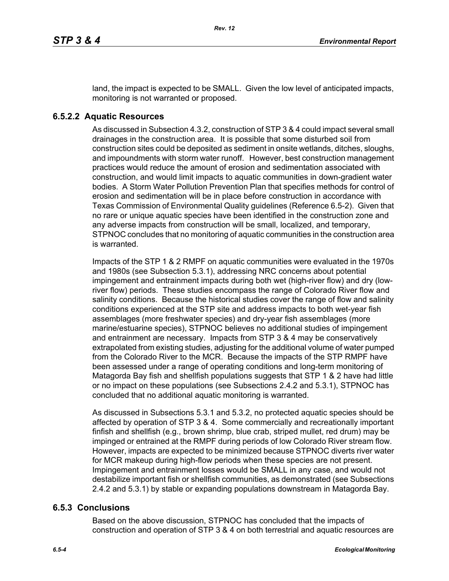land, the impact is expected to be SMALL. Given the low level of anticipated impacts, monitoring is not warranted or proposed.

### **6.5.2.2 Aquatic Resources**

As discussed in Subsection 4.3.2, construction of STP 3 & 4 could impact several small drainages in the construction area. It is possible that some disturbed soil from construction sites could be deposited as sediment in onsite wetlands, ditches, sloughs, and impoundments with storm water runoff. However, best construction management practices would reduce the amount of erosion and sedimentation associated with construction, and would limit impacts to aquatic communities in down-gradient water bodies. A Storm Water Pollution Prevention Plan that specifies methods for control of erosion and sedimentation will be in place before construction in accordance with Texas Commission of Environmental Quality guidelines (Reference 6.5-2). Given that no rare or unique aquatic species have been identified in the construction zone and any adverse impacts from construction will be small, localized, and temporary, STPNOC concludes that no monitoring of aquatic communities in the construction area is warranted.

Impacts of the STP 1 & 2 RMPF on aquatic communities were evaluated in the 1970s and 1980s (see Subsection 5.3.1), addressing NRC concerns about potential impingement and entrainment impacts during both wet (high-river flow) and dry (lowriver flow) periods. These studies encompass the range of Colorado River flow and salinity conditions. Because the historical studies cover the range of flow and salinity conditions experienced at the STP site and address impacts to both wet-year fish assemblages (more freshwater species) and dry-year fish assemblages (more marine/estuarine species), STPNOC believes no additional studies of impingement and entrainment are necessary. Impacts from STP 3 & 4 may be conservatively extrapolated from existing studies, adjusting for the additional volume of water pumped from the Colorado River to the MCR. Because the impacts of the STP RMPF have been assessed under a range of operating conditions and long-term monitoring of Matagorda Bay fish and shellfish populations suggests that STP 1 & 2 have had little or no impact on these populations (see Subsections 2.4.2 and 5.3.1), STPNOC has concluded that no additional aquatic monitoring is warranted.

As discussed in Subsections 5.3.1 and 5.3.2, no protected aquatic species should be affected by operation of STP 3 & 4. Some commercially and recreationally important finfish and shellfish (e.g., brown shrimp, blue crab, striped mullet, red drum) may be impinged or entrained at the RMPF during periods of low Colorado River stream flow. However, impacts are expected to be minimized because STPNOC diverts river water for MCR makeup during high-flow periods when these species are not present. Impingement and entrainment losses would be SMALL in any case, and would not destabilize important fish or shellfish communities, as demonstrated (see Subsections 2.4.2 and 5.3.1) by stable or expanding populations downstream in Matagorda Bay.

#### **6.5.3 Conclusions**

Based on the above discussion, STPNOC has concluded that the impacts of construction and operation of STP 3 & 4 on both terrestrial and aquatic resources are